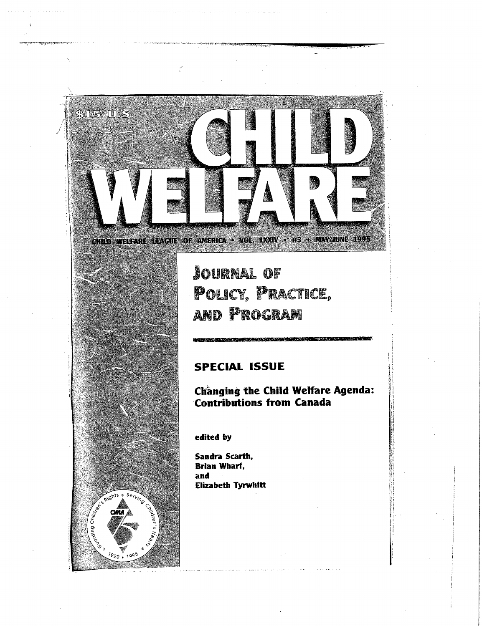

**JOURNAL OF** POLICY, PRACTICE, **AND PROGRAM** 

## **SPECIAL ISSUE**

Changing the Child Welfare Agenda: **Contributions from Canada** 

edited by

Serving

RIGhts

 $\sqrt{220 \cdot 1995}$ 

 $\delta_{\Phi}$ 

Sandra Scarth, **Brian Wharf.** and Elizabeth Tyrwhitt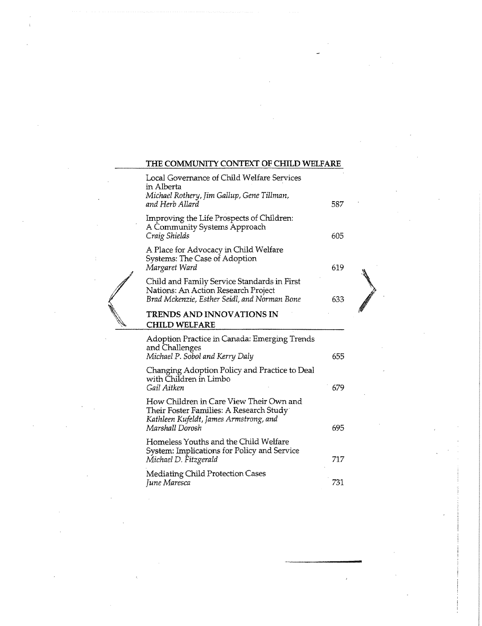## **THE COMMUNITY CONTEXT OF CHILD WELFARE**

|  | Local Governance of Child Welfare Services<br>in Alberta<br>Michael Rothery, Jim Gallup, Gene Tillman,<br>and Herb Allard                       | 587 |   |
|--|-------------------------------------------------------------------------------------------------------------------------------------------------|-----|---|
|  | Improving the Life Prospects of Children:<br>A Community Systems Approach<br>Craig Shields                                                      | 605 |   |
|  | A Place for Advocacy in Child Welfare<br>Systems: The Case of Adoption<br>Margaret Ward                                                         | 619 |   |
|  | Child and Family Service Standards in First<br>Nations: An Action Research Project<br>Brad Mckenzie, Esther Seidl, and Norman Bone              | 633 |   |
|  | TRENDS AND INNOVATIONS IN<br><b>CHILD WELFARE</b>                                                                                               |     | β |
|  | Adoption Practice in Canada: Emerging Trends<br>and Challenges<br>Michael P. Sobol and Kerry Daly                                               | 655 |   |
|  | Changing Adoption Policy and Practice to Deal<br>with Children in Limbo<br>Gail Aitken                                                          | 679 |   |
|  | How Children in Care View Their Own and<br>Their Foster Families: A Research Study<br>Kathleen Kufeldt, James Armstrong, and<br>Marshall Dorosh | 695 |   |
|  | Homeless Youths and the Child Welfare<br>System: Implications for Policy and Service<br>Michael D. Fitzgerald                                   | 717 |   |
|  | <b>Mediating Child Protection Cases</b><br>June Maresca                                                                                         | 731 |   |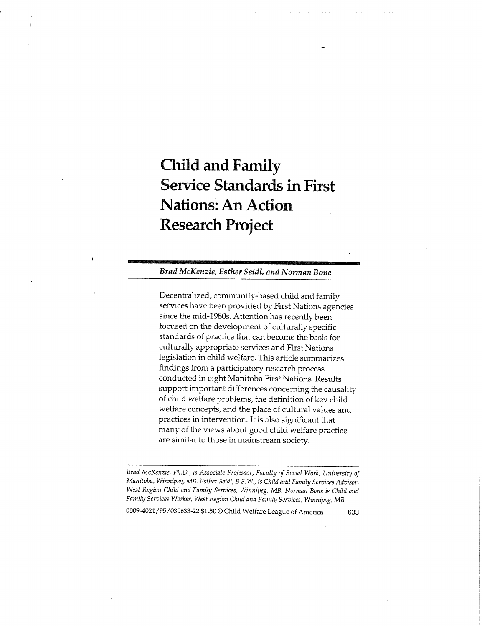# **Child and Family Service Standards in First Nations: An Action Research Project**

*Brad McKenzie, Esther Seidl, and Norman Bone* 

Decentralized, community-based child and family services have been provided by First Nations agencies since the mid-1980s. Attention has recently been focused on the development of culturally specific standards of practice that can become the basis for culturally appropriate services and First Nations legislation in child welfare. This article summarizes findings from a participatory research process conducted in eight Manitoba First Nations. Results support important differences concerning the causality of child welfare problems, the definition of key child welfare concepts, and the place of cultural values and practices in intervention. It is also significant that many of the views about good child welfare practice are similar to those in mainstream society.

*Brad McKenzie, Ph.D., is Associate Professor, Faculty of Social Work, University of Manitoba, Winnipeg, MB. Esther Seidl, B.S.W., is Child and Family Services Advisor, West Region Child and Family Services, Winnipeg, MB. Norman Bone is Child and Family Services Worker, West Region Child and Family Services, Winnipeg, MB.* 

0009-4021 /95/030633-22 \$1.50 © Child Welfare League of America 633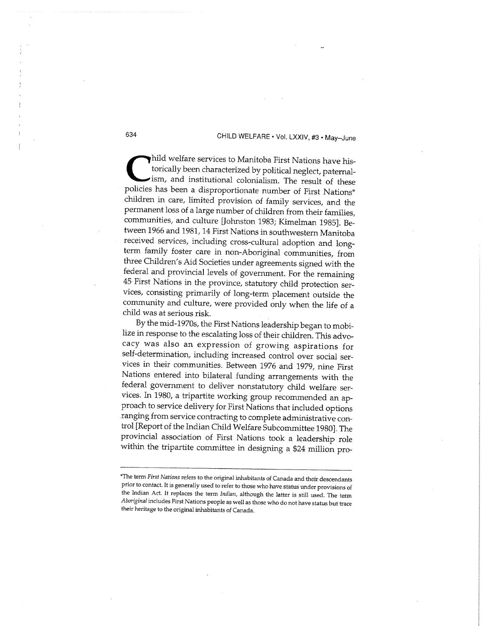hild welfare services to Manitoba First Nations have historically been characterized by political neglect, paternalism, and institutional colonialism. The result of these policies has been a disproportionate number of Firs hild welfare services to Manitoba First Nations have historically been characterized by political neglect, paternalism, and institutional colonialism. The result of these children in care, limited provision of family services, and the permanent loss of a large number of children from their families, communities, and culture [Johnston 1983; Kimelman 1985]. Between 1966 and 1981, 14 First Nations in southwestern Manitoba received services, including cross-cultural adoption and longterm family foster care in non-Aboriginal communities, from three Children's Aid Societies under agreements signed with the federal and provincial levels of government. For the remaining 45 First Nations in the province, statutory child protection services, consisting primarily of long-term placement outside the community and culture, were provided only when the life of a child was at serious risk.

By the mid-1970s, the First Nations leadership began to mobilize in response to the escalating loss of their children. This advocacy was also an expression of growing aspirations for self-determination, including increased control over social services in their communities. Between 1976 and 1979, nine First Nations entered into bilateral funding arrangements with the federal government to deliver nonstatutory child welfare services. In 1980, a tripartite working group recommended an approach to service delivery for First Nations that included options ranging from service contracting to complete administrative control [Report of the Indian Child Welfare Subcommittee 1980]. The provincial association of First Nations took a leadership role within the tripartite committee in designing a \$24 million pro-

<sup>\*</sup>The term First Nations refers to the original inhabitants of Canada and their descendants prior to contact. It is generally used to refer to those who have status under provisions of the Indian Act. It replaces the term *Indian,* although the latter is still used. The term *Aboriginal* includes First Nations people as well as those who do not have status but trace their heritage to the original inhabitants of Canada.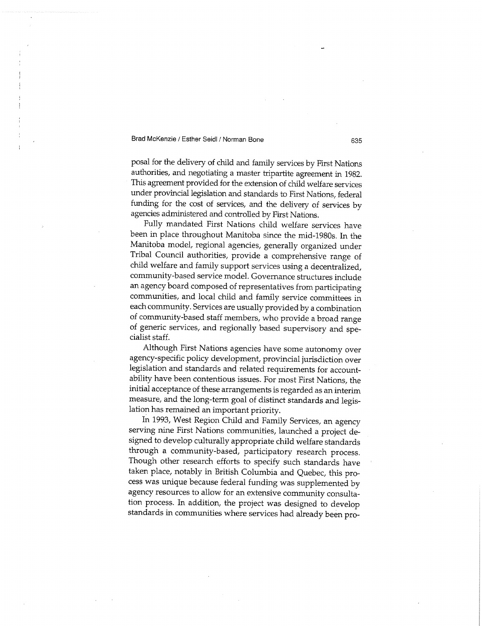posal for the delivery of child and family services by First Nations authorities, and negotiating a master tripartite agreement in 1982. This agreement provided for the extension of child welfare services under provincial legislation and standards to First Nations, federal funding for the cost of services, and the delivery of services by agencies administered and controlled by First Nations.

Fully mandated First Nations child welfare services have been in place throughout Manitoba since the mid-1980s. In the Manitoba model, regional agencies, generally organized under Tribal Council authorities, provide a comprehensive range of child welfare and family support services using a decentralized, community-based service model. Governance structures include an agency board composed of representatives from participating communities, and local child and family service committees in each community. Services are usually provided by a combination of community-based staff members, who provide a broad range of generic services, and regionally based supervisory and specialist staff.

Although First Nations agencies have some autonomy over agency-specific policy development, provincial jurisdiction over legislation and standards and related requirements for accountability have been contentious issues. For most First Nations, the initial acceptance of these arrangements is regarded as an interim measure, and the long-term goal of distinct standards and legislation has remained an important priority.

In 1993, West Region Child and Family Services, an agency serving nine First Nations communities, launched a project designed to develop culturally appropriate child welfare standards through a community-based, participatory research process. Though other research efforts to specify such standards have taken place, notably in British Columbia and Quebec, this process was unique because federal funding was supplemented by agency resources to allow for an extensive community consultation process. In addition, the project was designed to develop standards in communities where services had already been pro-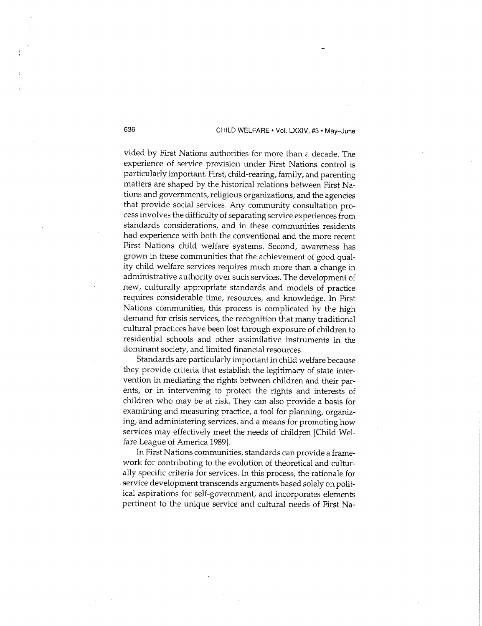vided by First Nations authorities for more than a decade. The experience of service provision under First Nations control is particularly important. First, child-rearing, family, and parenting matters are shaped by the historical relations between First Nations and governments, religious organizations, and the agencies that provide social services. Any community consultation process involves the difficulty of separating service experiences from standards considerations, and in these communities residents had experience with both the conventional and the more recent First Nations child welfare systems. Second, awareness has grown in these communities that the achievement of good quality child welfare services requires much more than a change in administrative authority over such services. The development of new, culturally appropriate standards and models of practice requires considerable time, resources, and knowledge. In First Nations communities, this process is complicated by the high demand for crisis services, the recognition that many traditional cultural practices have been lost through exposure of children to residential schools and other assimilative instruments in the dominant society, and limited financial resources.

Standards are particularly important in child welfare because they provide criteria that establish the legitimacy of state intervention in mediating the rights between children and their parents, or in intervening to protect the rights and interests of children who may be at risk. They can also provide a basis for examining and measuring practice, a tool for planning, organizing, and administering services, and a means for promoting how services may effectively meet the needs of children [Child Welfare League of America 1989].

In First Nations communities, standards can provide a framework for contributing to the evolution of theoretical and culturally specific criteria for services. In this process, the rationale for service development transcends arguments based solely on political aspirations for self-government, and incorporates elements pertinent to the unique service and cultural needs of First Na-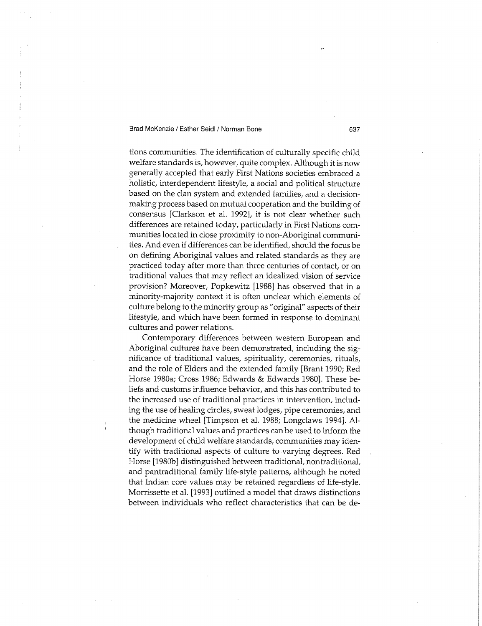tions communities. The identification of culturally specific child welfare standards is, however, quite complex. Although it is now generally accepted that early First Nations societies embraced a holistic, interdependent lifestyle, a social and political structure based on the clan system and extended families, and a decisionmaking process based on mutual cooperation and the building of consensus [Clarkson et al. 1992], it is not clear whether such differences are retained today, particularly in First Nations communities located in close proximity to non-Aboriginal communities. And even if differences can be identified, should the focus be on defining Aboriginal values and related standards as they are practiced today after more than three centuries of contact, or on traditional values that may reflect an idealized vision of service provision? Moreover, Popkewitz [1988] has observed that in a minority-majority context it is often unclear which elements of culture belong to the minority group as "original" aspects of their lifestyle, and which have been formed in response to dominant cultures and power relations.

Contemporary differences between western European and Aboriginal cultures have been demonstrated, including the significance of traditional values, spirituality, ceremonies, rituals, and the role of Elders and the extended family [Brant 1990; Red Horse 1980a; Cross 1986; Edwards & Edwards 1980]. These beliefs and customs influence behavior, and this has contributed to the increased use of traditional practices in intervention, including the use of healing circles, sweat lodges, pipe ceremonies, and the medicine wheel [Timpson et al. 1988; Longclaws 1994]. Although traditional values and practices can be used to inform the development of child welfare standards, communities may identify with traditional aspects of culture to varying degrees. Red Horse [1980b] distinguished between traditional, nontraditional, and pantraditional family life-style patterns, although he noted that Indian core values may be retained regardless of life-style. Morrissette et al. [1993] outlined a model that draws distinctions between individuals who reflect characteristics that can be de-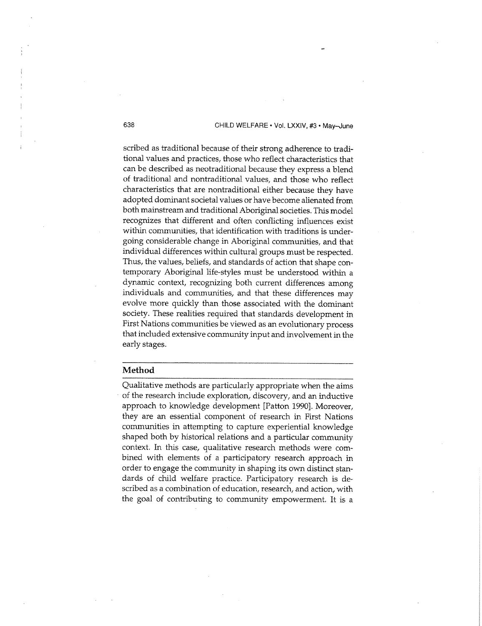scribed as traditional because of their strong adherence to traditional values and practices, those who reflect characteristics that can be described as neotraditional because they express a blend of traditional and nontraditional values, and those who reflect characteristics that are nontraditional either because they have adopted dominant societal values or have become alienated from both mainstream and traditional Aboriginal societies. This model recognizes that different and often conflicting influences exist within communities, that identification with traditions is undergoing considerable change in Aboriginal communities, and that individual differences within cultural groups must be respected. Thus, the values, beliefs, and standards of action that shape contemporary Aboriginal life-styles must be understood within a dynamic context, recognizing both current differences among individuals and communities, and that these differences may evolve more quickly than those associated with the dominant society. These realities required that standards development in First Nations communities be viewed as an evolutionary process that included extensive community input and involvement in the early stages.

#### **Method**

Qualitative methods are particularly appropriate when the aims of the research include exploration, discovery, and an inductive approach to knowledge development [Patton 1990]. Moreover, they are an essential component of research in First Nations communities in attempting to capture experiential knowledge shaped both by historical relations and a particular community context. In this case, qualitative research methods were combined with elements of a participatory research approach in order to engage the community in shaping its own distinct standards of child welfare practice. Participatory research is described as a combination of education, research, and action, with the goal of contributing to community empowerment. It is a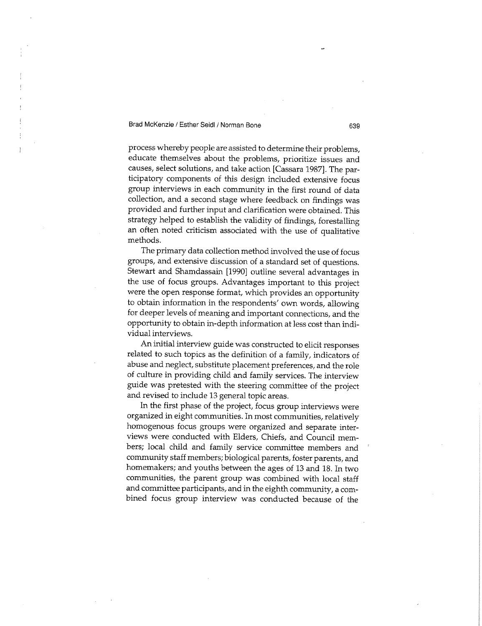process whereby people are assisted to determine their problems, educate themselves about the problems, prioritize issues and causes, select solutions, and take action [Cassara 1987]. The participatory components of this design included extensive focus group interviews in each community in the first round of data collection, and a second stage where feedback on findings was provided and further input and clarification were obtained. This strategy helped to establish the validity of findings, forestalling an often noted criticism associated with the use of qualitative methods.

The primary data collection method involved the use of focus groups, and extensive discussion of a standard set of questions. Stewart and Shamdassain [1990] outline several advantages in the use of focus groups. Advantages important to this project were the open response format, which provides an opportunity to obtain information in the respondents' own words, allowing for deeper levels of meaning and important connections, and the opportunity to obtain in-depth information at less cost than individual interviews.

An initial interview guide was constructed to elicit responses related to such topics as the definition of a family, indicators of abuse and neglect, substitute placement preferences, and the role of culture in providing child and family services. The interview guide was pretested with the steering committee of the project and revised to include 13 general topic areas.

In the first phase of the project, focus group interviews were organized in eight communities. In most communities, relatively homogenous focus groups were organized and separate interviews were conducted with Elders, Chiefs, and Council members; local child and family service committee members and community staff members; biological parents, foster parents, and homemakers; and youths between the ages of 13 and 18. In two communities, the parent group was combined with local staff and committee participants, and in the eighth community, a combined focus group interview was conducted because of the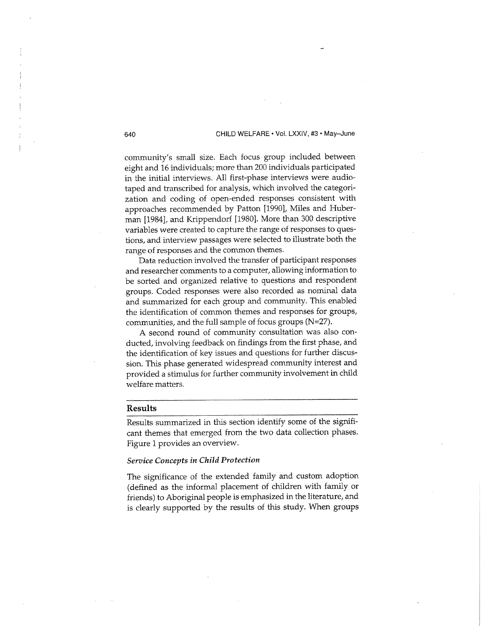community's small size. Each focus group included between eight and 16 individuals; more than 200 individuals participated in the initial interviews. All first-phase interviews were audiotaped and transcribed for analysis, which involved the categorization and coding of open-ended responses consistent with approaches recommended by Patton [1990], Miles and Huberman [1984], and Krippendorf [1980]. More than 300 descriptive variables were created to capture the range of responses to questions, and interview passages were selected to illustrate both the range of responses and the common themes.

Data reduction involved the transfer of participant responses and researcher comments to a computer, allowing information to be sorted and organized relative to questions and respondent groups. Coded responses were also recorded as nominal data and summarized for each group and community. This enabled the identification of common themes and responses for groups, communities, and the full sample of focus groups  $(N=27)$ .

A second round of community consultation was also conducted, involving feedback on findings from the first phase, and the identification of key issues and questions for further discussion. This phase generated widespread community interest and provided a stimulus for further community involvement in child welfare matters.

#### **Results**

Results summarized in this section identify some of the significant themes that emerged from the two data collection phases. Figure 1 provides an overview.

#### *Service Concepts in Child Protection*

The significance of the extended family and custom adoption (defined as the informal placement of children with family or friends) to Aboriginal people is emphasized in the literature, and is clearly supported by the results of this study. When groups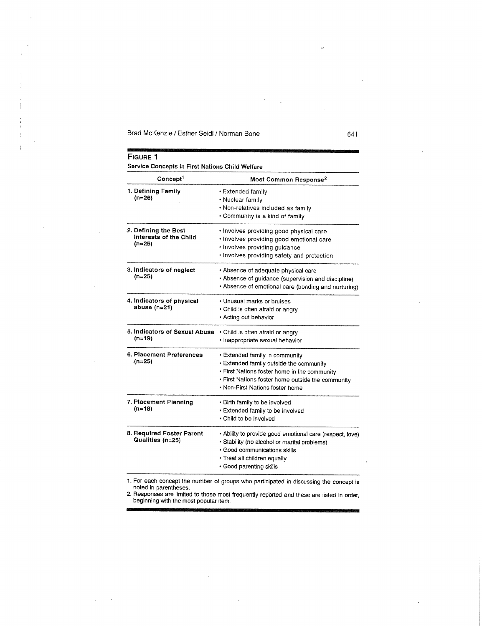ł

 $\overline{1}$ 

 $\sim$ 

 $\mathcal{L}_{\mathcal{A}}$ 

 $\sim$  $\sim$ 

 $\bar{z}$ 

| Most Common Response <sup>2</sup>                                                                                                                                                                                 |
|-------------------------------------------------------------------------------------------------------------------------------------------------------------------------------------------------------------------|
| • Extended family<br>· Nuclear family<br>· Non-relatives included as family<br>• Community is a kind of family                                                                                                    |
| • Involves providing good physical care<br>· Involves providing good emotional care<br>· Involves providing guidance<br>· Involves providing safety and protection                                                |
| • Absence of adequate physical care<br>• Absence of guidance (supervision and discipline)<br>• Absence of emotional care (bonding and nurturing)                                                                  |
| • Unusual marks or bruises<br>• Child is often afraid or angry<br>• Acting out behavior                                                                                                                           |
| · Child is often afraid or angry<br>· Inappropriate sexual behavior                                                                                                                                               |
| • Extended family in community<br>· Extended family outside the community<br>. First Nations foster home in the community<br>. First Nations foster home outside the community<br>• Non-First Nations foster home |
| • Birth family to be involved<br>• Extended family to be involved<br>• Child to be involved                                                                                                                       |
| • Ability to provide good emotional care (respect, love)<br>· Stability (no alcohol or marital problems)<br>· Good communications skills<br>· Treat all children equally<br>· Good parenting skills               |
|                                                                                                                                                                                                                   |

 $\bar{z}$ 

 $\sim$ 

**1**. For each concept the number of groups who participated in discussing the concept is noted in parentheses.

2. Responses are limited to those most frequently reported and these are listed in order, beginning with the most popular item.

 $\bar{\mathbf{z}}$ 

 $\bar{z}$ 

 $\langle \cdot \rangle$ 

J.

L.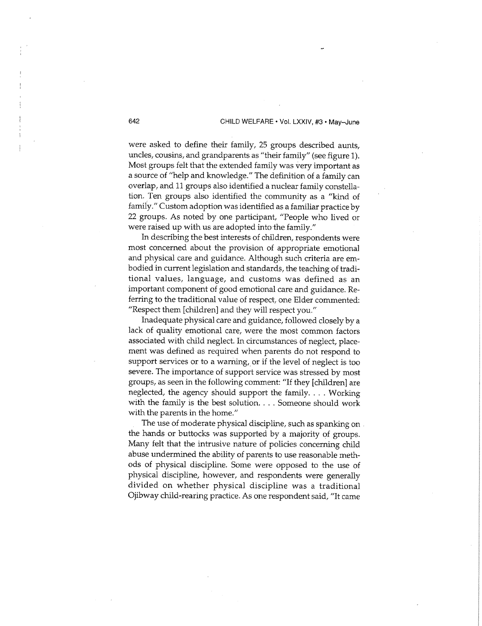were asked to define their family, 25 groups described aunts, uncles, cousins, and grandparents as "their family" (see figure 1). Most groups felt that the extended family was very important as a source of "help and knowledge." The definition of a family can overlap, and 11 groups also identified a nuclear family constellation. Ten groups also identified the community as a "kind of family." Custom adoption was identified as a familiar practice by 22 groups. As noted by one participant, "People who lived or were raised up with us are adopted into the family."

In describing the best interests of children, respondents were most concerned about the provision of appropriate emotional and physical care and guidance. Although such criteria are embodied in current legislation and standards, the teaching of traditional values, language, and customs was defined as an important component of good emotional care and guidance. Referring to the traditional value of respect, one Elder commented: "Respect them [children] and they will respect you."

Inadequate physical care and guidance, followed closely by a lack of quality emotional care, were the most common factors associated with child neglect. In circumstances of neglect, placement was defined as required when parents do not respond to support services or to a warning, or if the level of neglect is too severe. The importance of support service was stressed by most groups, as seen in the following comment: "If they [children] are neglected, the agency should support the family. . . . Working with the family is the best solution. . . . Someone should work with the parents in the home."

The use of moderate physical discipline, such as spanking on . the hands or buttocks was supported by a majority of groups. Many felt that the intrusive nature of policies concerning child abuse undermined the ability of parents to use reasonable methods of physical discipline. Some were opposed to the use of physical discipline, however, and respondents were generally divided on whether physical discipline was a traditional Ojibway child-rearing practice. As one respondent said, "It came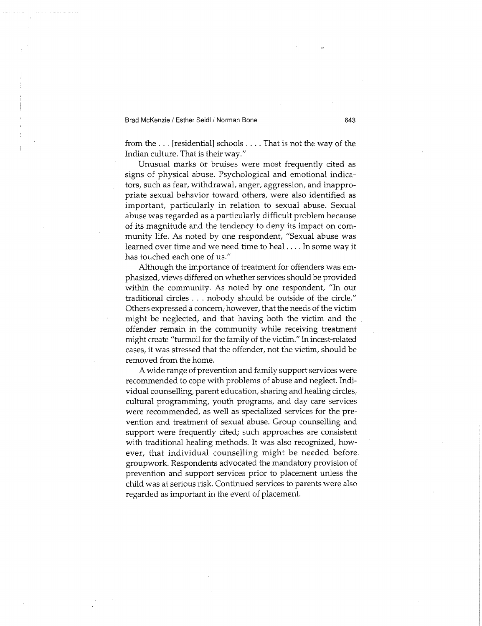from the . . . [residential] schools ... . That is not the way of the Indian culture. That is their way."

Unusual marks or bruises were most frequently cited as signs of physical abuse. Psychological and emotional indicators, such as fear, withdrawal, anger, aggression, and inappropriate sexual behavior toward others, were also identified as important, particularly in relation to sexual abuse. Sexual abuse was regarded as a particularly difficult problem because of its magnitude and the tendency to deny its impact on community life. As noted by one respondent, "Sexual abuse was learned over time and we need time to heal... . In some way it has touched each one of us."

Although the importance of treatment for offenders was emphasized, views differed on whether services should be provided within the community. As noted by one respondent, "In our traditional circles . . . nobody should be outside of the circle." Others expressed a concern, however, that the needs of the victim might be neglected, and that having both the victim and the offender remain in the community while receiving treatment might create "turmoil for the family of the victim." In incest-related cases, it was stressed that the offender, not the victim, should be removed from the home.

A wide range of prevention and family support services were recommended to cope with problems of abuse and neglect. Individual counselling, parent education, sharing and healing circles, cultural programming, youth programs, and day care services were recommended, as well as specialized services for the prevention and treatment of sexual abuse. Group counselling and support were frequently cited; such approaches are consistent with traditional healing methods. It was also recognized, however, that individual counselling might be needed before groupwork. Respondents advocated the mandatory provision of prevention and support services prior to placement unless the child was at serious risk. Continued services to parents were also regarded as important in the event of placement.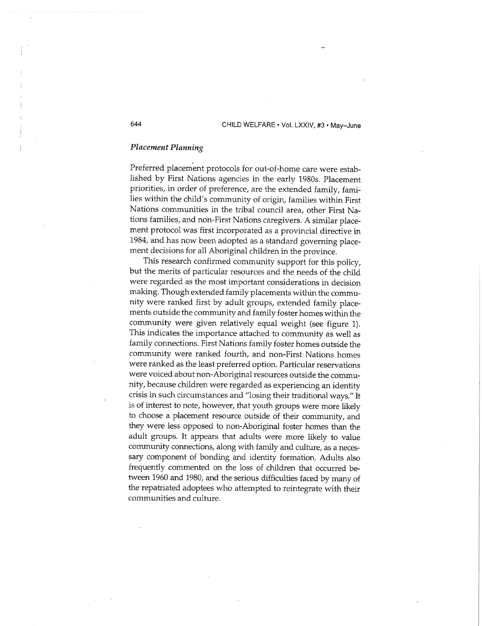#### *Placement Planning*

Preferred placement protocols for out-of-home care were established by First Nations agencies in the early 1980s. Placement priorities, in order of preference, are the extended family, families within the child's community of origin, families within First Nations communities in the tribal council area, other First Nations families, and non-First Nations caregivers. A similar placement protocol was first incorporated as a provincial directive in 1984, and has now been adopted as a standard governing placement decisions for all Aboriginal children in the province.

This research confirmed community support for this policy, but the merits of particular resources and the needs of the child were regarded as the most important considerations in decision making. Though extended family placements within the community were ranked first by adult groups, extended family placements outside the community and family foster homes within the community were given relatively equal weight (see figure 1). This indicates the importance attached to community as well as family connections. First Nations family foster homes outside the community were ranked fourth, and non-First Nations homes were ranked as the least preferred option. Particular reservations were voiced about non-Aboriginal resources outside the community, because children were regarded as experiencing an identity crisis in such circumstances and "losing their traditional ways." It is of interest to note, however, that youth groups were more likely to choose a placement resource outside of their community, and they were less opposed to non-Aboriginal foster homes than the adult groups. It appears that adults were more likely to value community connections, along with family and culture, as a necessary component of bonding and identity formation. Adults also frequently commented on the loss of children that occurred between 1960 and 1980, and the serious difficulties faced by many of the repatriated adoptees who attempted to reintegrate with their communities and culture.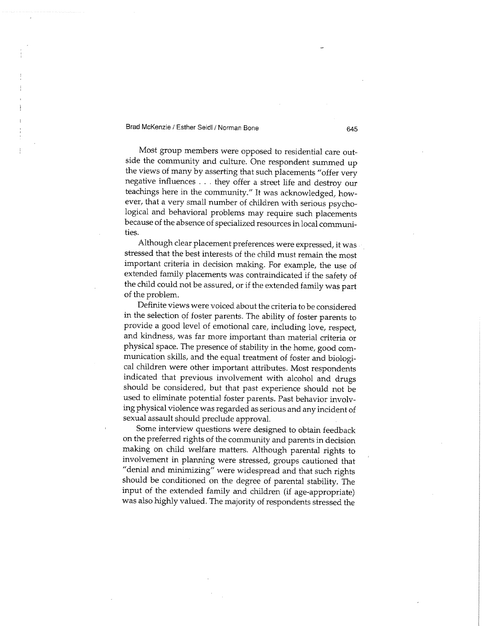Most group members were opposed to residential care outside the community and culture. One respondent summed up the views of many by asserting that such placements "offer very negative influences . . . they offer a street life and destroy our teachings here in the community." It was acknowledged, however, that a very small number of children with serious psychological and behavioral problems may require such placements because of the absence of specialized resources in local communities.

Although clear placement preferences were expressed, it was stressed that the best interests of the child must remain the most important criteria in decision making. For example, the use of extended family placements was contraindicated if the safety of the child could not be assured, or if the extended family was part of the problem.

Definite views were voiced about the criteria to be considered in the selection of foster parents. The ability of foster parents to provide a good level of emotional care, including love, respect, and kindness, was far more important than material criteria or physical space. The presence of stability in the home, good communication skills, and the equal treatment of foster and biological children were other important attributes. Most respondents indicated that previous involvement with alcohol and drugs should be considered, but that past experience should not be used to eliminate potential foster parents. Past behavior involving physical violence was regarded as serious and any incident of sexual assault should preclude approval.

Some interview questions were designed to obtain feedback on the preferred rights of the community and parents in decision making on child welfare matters. Although parental rights to involvement in planning were stressed, groups cautioned that "denial and minimizing" were widespread and that such rights should be conditioned on the degree of parental stability. The input of the extended family and children (if age-appropriate) was also highly valued. The majority of respondents stressed the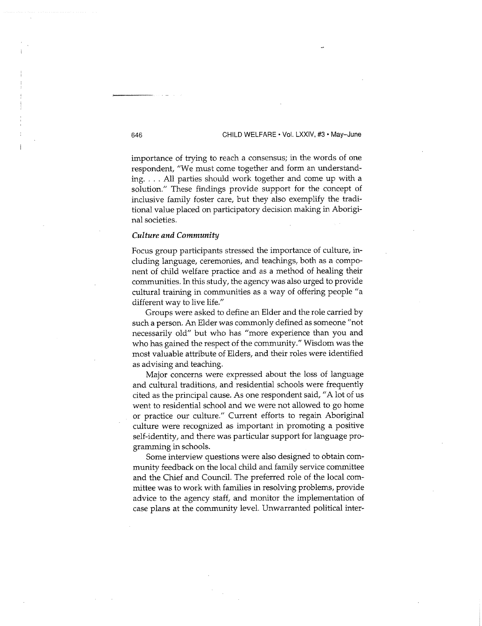importance of trying to reach a consensus; in the words of one respondent, "We must come together and form an understanding. .. . All parties should work together and come up with a solution." These findings provide support for the concept of inclusive family foster care, but they also exemplify the traditional value placed on participatory decision making in Aboriginal societies.

#### *Culture and Community*

Focus group participants stressed the importance of culture, including language, ceremonies, and teachings, both as a component of child welfare practice and as a method of healing their communities. In this study, the agency was also urged to provide cultural training in communities as a way of offering people "a different way to live life."

Groups were asked to define an Elder and the role carried by such a person. An Elder was commonly defined as someone "not necessarily old" but who has "more experience than you and who has gained the respect of the community." Wisdom was the most valuable attribute of Elders, and their roles were identified as advising and teaching.

Major concerns were expressed about the loss of language and cultural traditions, and residential schools were frequently cited as the principal cause. As one respondent said, " A lot of us went to residential school and we were not allowed to go home or practice our culture." Current efforts to regain Aboriginal culture were recognized as important in promoting a positive self-identity, and there was particular support for language programming in schools.

Some interview questions were also designed to obtain community feedback on the local child and family service committee and the Chief and Council. The preferred role of the local committee was to work with families in resolving problems, provide advice to the agency staff, and monitor the implementation of case plans at the community level. Unwarranted political inter-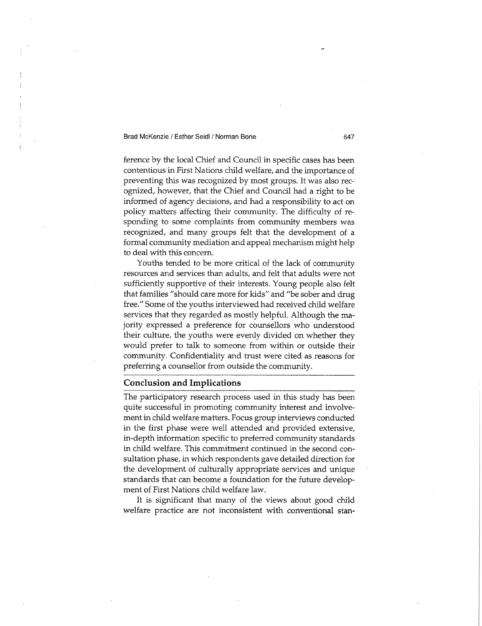ference by the local Chief and Council in specific cases has been contentious in First Nations child welfare, and the importance of preventing this was recognized by most groups. It was also recognized, however, that the Chief and Council had a right to be informed of agency decisions, and had a responsibility to act on policy matters affecting their community. The difficulty of responding to some complaints from community members was recognized, and many groups felt that the development of a formal community mediation and appeal mechanism might help to deal with this concern.

Youths tended to be more critical of the lack of community resources and services than adults, and felt that adults were not sufficiently supportive of their interests. Young people also felt that families "should care more for kids" and "be sober and drug free." Some of the youths interviewed had received child welfare services that they regarded as mostly helpful. Although the majority expressed a preference for counsellors who understood their culture, the youths were evenly divided on whether they would prefer to talk to someone from within or outside their community. Confidentiality and trust were cited as reasons for preferring a counsellor from outside the community.

#### **Conclusion and Implications**

The participatory research process used in this study has been quite successful in promoting community interest and involvement in child welfare matters. Focus group interviews conducted in the first phase were well attended and provided extensive, in-depth information specific to preferred community standards in child welfare. This commitment continued in the second consultation phase, in which respondents gave detailed direction for the development of culturally appropriate services and unique standards that can become a foundation for the future development of First Nations child welfare law.

It is significant that many of the views about good child welfare practice are not inconsistent with conventional stan-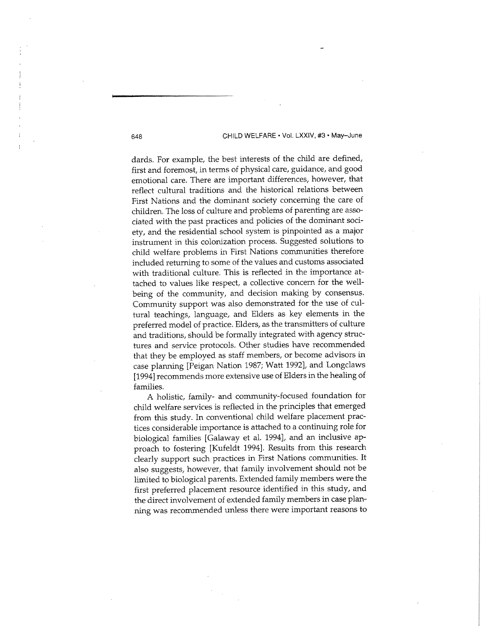dards. For example, the best interests of the child are defined, first and foremost, in terms of physical care, guidance, and good emotional care. There are important differences, however, that reflect cultural traditions and the historical relations between First Nations and the dominant society concerning the care of children. The loss of culture and problems of parenting are associated with the past practices and policies of the dominant society, and the residential school system is pinpointed as a major instrument in this colonization process. Suggested solutions to child welfare problems in First Nations communities therefore included returning to some of the values and customs associated with traditional culture. This is reflected in the importance attached to values like respect, a collective concern for the wellbeing of the community, and decision making by consensus. Community support was also demonstrated for the use of cultural teachings, language, and Elders as key elements in the preferred model of practice. Elders, as the transmitters of culture and traditions, should be formally integrated with agency structures and service protocols. Other studies have recommended that they be employed as staff members, or become advisors in case planning [Peigan Nation 1987; Watt 1992], and Longclaws [1994] recommends more extensive use of Elders in the healing of families.

A holistic, family- and community-focused foundation for child welfare services is reflected in the principles that emerged from this study. In conventional child welfare placement practices considerable importance is attached to a continuing role for biological families [Galaway et al. 1994], and an inclusive approach to fostering [Kufeldt 1994]. Results from this research clearly support such practices in First Nations communities. It also suggests, however, that family involvement should not be limited to biological parents. Extended family members were the first preferred placement resource identified in this study, and the direct involvement of extended family members in case planning was recommended unless there were important reasons to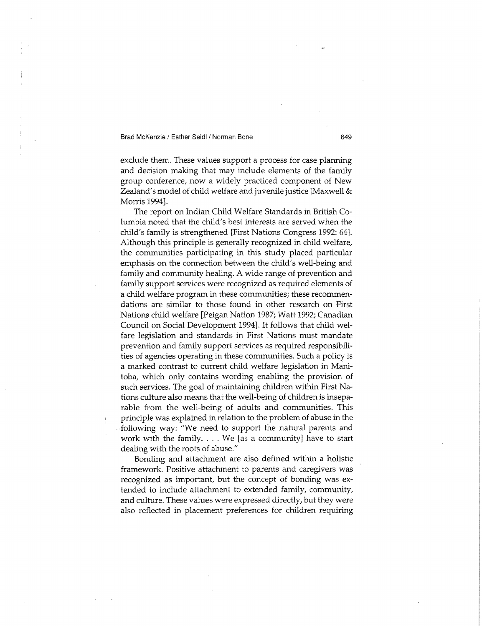exclude them. These values support a process for case planning and decision making that may include elements of the family group conference, now a widely practiced component of New Zealand's model of child welfare and juvenile justice [Maxwell & Morris 1994].

The report on Indian Child Welfare Standards in British Columbia noted that the child's best interests are served when the child's family is strengthened [First Nations Congress 1992: 64]. Although this principle is generally recognized in child welfare, the communities participating in this study placed particular emphasis on the connection between the child's well-being and family and community healing. A wide range of prevention and family support services were recognized as required elements of a child welfare program in these communities; these recommendations are similar to those found in other research on First Nations child welfare [Peigan Nation 1987; Watt 1992; Canadian Council on Social Development 1994], It follows that child welfare legislation and standards in First Nations must mandate prevention and family support services as required responsibilities of agencies operating in these communities. Such a policy is a marked contrast to current child welfare legislation in Manitoba, which only contains wording enabling the provision of such services. The goal of maintaining children within First Nations culture also means that the well-being of children is inseparable from the well-being of adults and communities. This principle was explained in relation to the problem of abuse in the following way: "We need to support the natural parents and work with the family. . . . We [as a community] have to start dealing with the roots of abuse."

Bonding and attachment are also defined within a holistic framework. Positive attachment to parents and caregivers was recognized as important, but the concept of bonding was extended to include attachment to extended family, community, and culture. These values were expressed directly, but they were also reflected in placement preferences for children requiring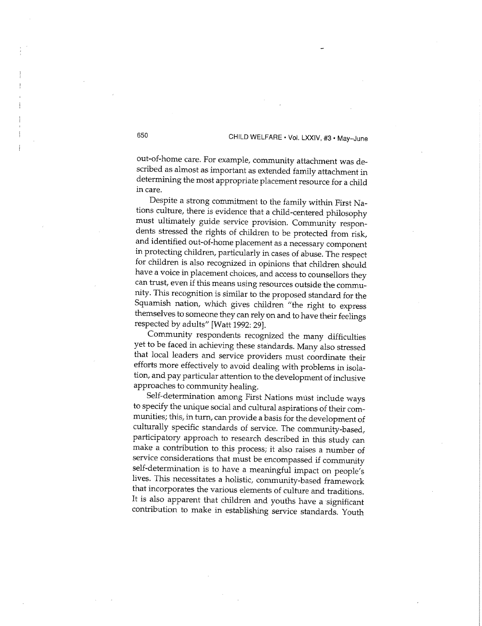out-of-home care. For example, community attachment was described as almost as important as extended family attachment in determining the most appropriate placement resource for a child in care.

Despite a strong commitment to the family within First Nations culture, there is evidence that a child-centered philosophy must ultimately guide service provision. Community respondents stressed the rights of children to be protected from risk, and identified out-of-home placement as a necessary component in protecting children, particularly in cases of abuse. The respect for children is also recognized in opinions that children should have a voice in placement choices, and access to counsellors they can trust, even if this means using resources outside the community. This recognition is similar to the proposed standard for the Squamish nation, which gives children "the right to express themselves to someone they can rely on and to have their feelings respected by adults" [Watt 1992: 29].

Community respondents recognized the many difficulties yet to be faced in achieving these standards. Many also stressed that local leaders and service providers must coordinate their efforts more effectively to avoid dealing with problems in isolation, and pay particular attention to the development of inclusive approaches to community healing.

Self-determination among First Nations must include ways to specify the unique social and cultural aspirations of their communities; this, in turn, can provide a basis for the development of culturally specific standards of service. The community-based, participatory approach to research described in this study can make a contribution to this process; it also raises a number of service considerations that must be encompassed if community self-determination is to have a meaningful impact on people's lives. This necessitates a holistic, community-based framework that incorporates the various elements of culture and traditions. It is also apparent that children and youths have a significant contribution to make in establishing service standards. Youth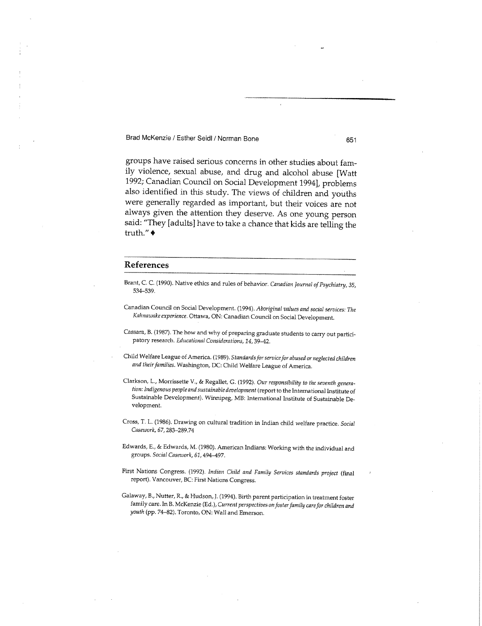groups have raised serious concerns in other studies about family violence, sexual abuse, and drug and alcohol abuse [Watt 1992; Canadian Council on Social Development 1994], problems also identified in this study. The views of children and youths were generally regarded as important, but their voices are not always given the attention they deserve. As one young person said: "They [adults] have to take a chance that kids are telling the truth." •

#### **References**

- Brant, C. C. (1990). Native ethics and rules of behavior. *Canadian journal of Psychiatry, 35,*  534-539.
- Canadian Council on Social Development. (1994). *Aboriginal values and social services: The Kahnawake experience.* Ottawa, ON : Canadian Council on Social Development.
- Cassara, B. (1987). The how and why of preparing graduate students to carry out participatory research. *Educational Considerations, 14,39-42.*
- Child Welfare League of America. (1989). *Standards for servicefor abused or neglected children and their families.* Washington, DC: Child Welfare League of America.
- Clarkson, L., Morrissette V., & Regallet, G. (1992). *Our responsibility to the seventh generation: Indigenous people and sustainable development* (report to the International Institute of Sustainable Development). Winnipeg, MB: International Institute of Sustainable Development.
- Cross, T. L. (1986). Drawing on cultural tradition in Indian child welfare practice. *Social Casework, 67,*283-289.74
- Edwards, E., & Edwards, M . (1980). American Indians: Working with the individual and groups. *Social Casework, 61,*494-497.
- First Nations Congress. (1992). *Indian Child and Family Services standards project* (final report). Vancouver, BC: First Nations Congress.
- Galaway, B., Nutter, R., & Hudson, J. (1994). Birth parent participation in treatment foster family care. In B. McKenzie (Ed.), *Current perspectives on foster family care for children and youth* (pp. 74-82). Toronto, ON : Wall and Emerson.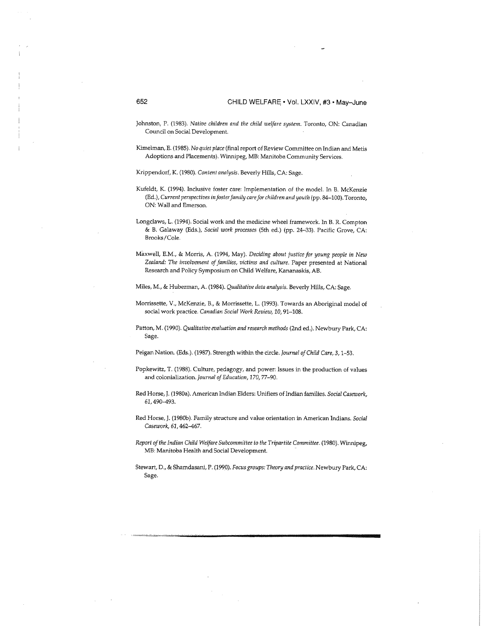- Johnston, P. (1983). *Native children and the child welfare system*. Toronto, ON: Canadian Council on Social Development.
- Kimelman, E. (1985). *No quiet place* (final report of Review Committee on Indian and Metis Adoptions and Placements). Winnipeg, MB: Manitoba Community Services.

Krippendorf, K. (1980). Content analysis. Beverly Hills, CA: Sage.

- Kufeldt, K. (1994). Inclusive foster care: Implementation of the model. In B. McKenzie (Ed.), *Current perspectives in foster family care for children and youth* (pp. 84-100). Toronto, ON: Wall and Emerson.
- Longclaws, L. (1994). Social work and the medicine wheel framework. In B. R. Compton & B. Galaway (Eds.), *Social work processes* (5th ed.) (pp. 24-33). Pacific Grove, CA : Brooks/Cole.
- Maxwell, E.M. , & Morris, A . (1994, May). *Deciding about justice for young people in New Zealand: The involvement of families, victims and culture.* Paper presented at National Research and Policy Symposium on Child Welfare, Kananaskis, AB.
- Miles, M. , & Huberman, A . (1984). *Qualitative data analysis.* Beverly Hills, CA : Sage.
- Morrissette, V., McKenzie, B., & Morrissette, L. (1993). Towards an Aboriginal model of social work practice. *Canadian Social Work Review, 10,*91-108.
- Patton, M . (1990). *Qualitative evaluation and research methods* (2nd ed.). Newbury Park, CA : Sage.

Peigan Nation. (Eds.). (1987). Strength within the circle. *Journal of Child Care, 3,*1-53.

- Popkewitz, T. (1988). Culture, pedagogy, and power: Issues in the production of values and colonialization. *Journal of Education,* 170,77-90.
- Red Horse, J. (1980a). American Indian Elders: Unifiers of Indian families. *Social Casework,*  61,490-493.
- Red Horse, J. (1980b). Family structure and value orientation in American Indians. *Social Casework,* 62,462-467.
- *Report of the Indian Child Welfare Subcommittee to the Tripartite Committee.* (1980). Winnipeg, MB: Manitoba Health and Social Development.
- Stewart, D., & Shamdasani, P. (1990). *Focus groups: Theory and practice.* Newbury Park, CA : Sage.